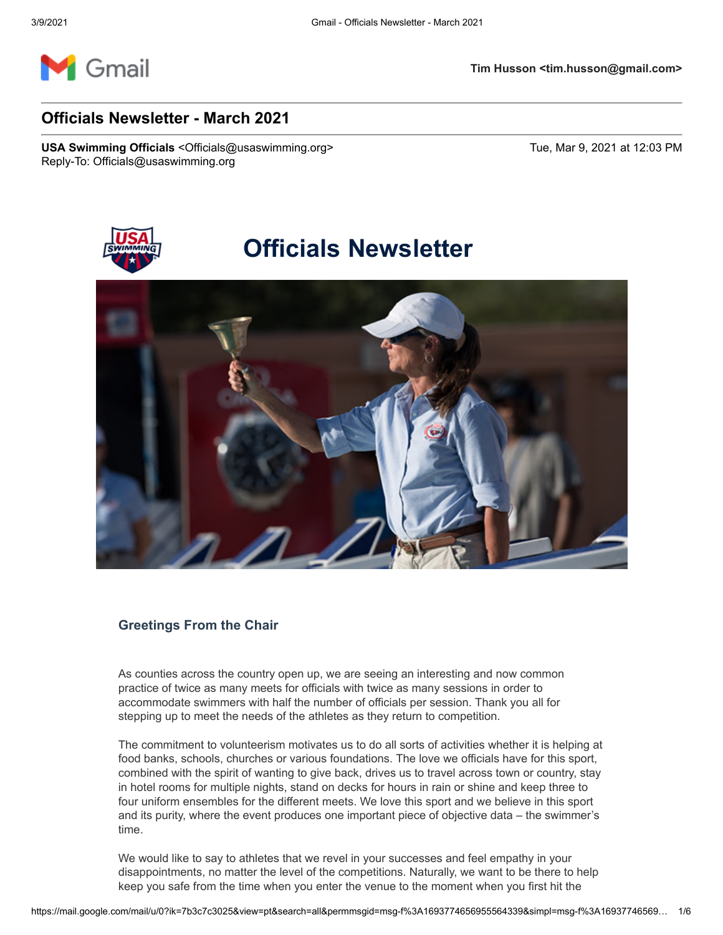

# **Officials Newsletter - March 2021**

**USA Swimming Officials** <Officials@usaswimming.org> Tue, Mar 9, 2021 at 12:03 PM Reply-To: Officials@usaswimming.org



# **Officials Newsletter**



# **Greetings From the Chair**

As counties across the country open up, we are seeing an interesting and now common practice of twice as many meets for officials with twice as many sessions in order to accommodate swimmers with half the number of officials per session. Thank you all for stepping up to meet the needs of the athletes as they return to competition.

The commitment to volunteerism motivates us to do all sorts of activities whether it is helping at food banks, schools, churches or various foundations. The love we officials have for this sport, combined with the spirit of wanting to give back, drives us to travel across town or country, stay in hotel rooms for multiple nights, stand on decks for hours in rain or shine and keep three to four uniform ensembles for the different meets. We love this sport and we believe in this sport and its purity, where the event produces one important piece of objective data – the swimmer's time.

We would like to say to athletes that we revel in your successes and feel empathy in your disappointments, no matter the level of the competitions. Naturally, we want to be there to help keep you safe from the time when you enter the venue to the moment when you first hit the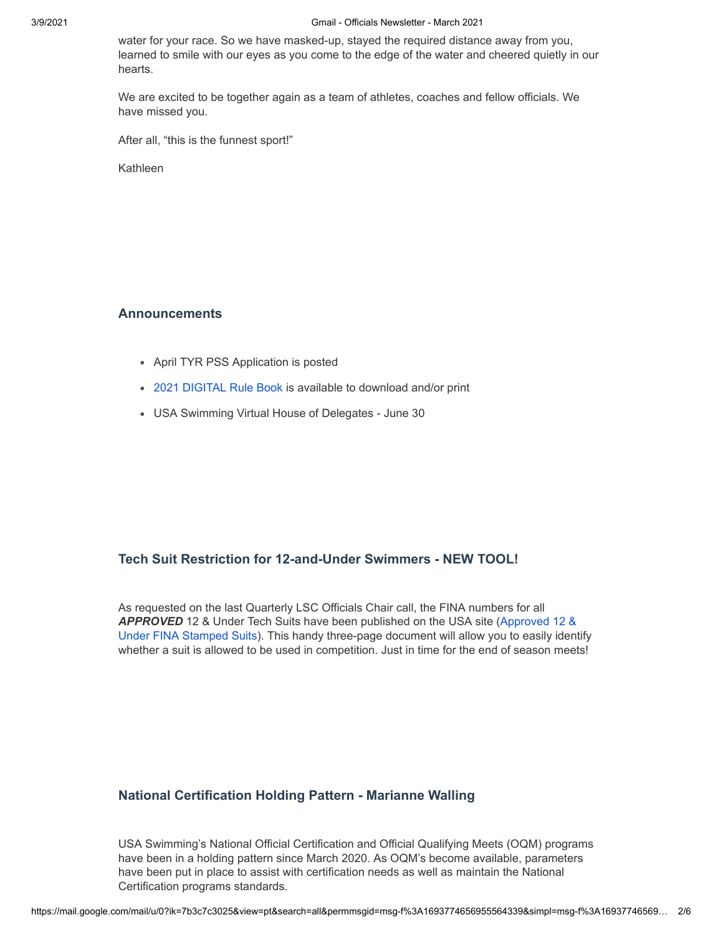#### 3/9/2021 Gmail - Officials Newsletter - March 2021

water for your race. So we have masked-up, stayed the required distance away from you, learned to smile with our eyes as you come to the edge of the water and cheered quietly in our hearts.

We are excited to be together again as a team of athletes, coaches and fellow officials. We have missed you.

After all, "this is the funnest sport!"

Kathleen

## **Announcements**

- April TYR PSS Application is posted
- [2021 DIGITAL Rule Book](http://pages.usaswimming.org/MjM2LUtDWi00OTUAAAF7tunWitpVDbRakxE8a9FwNFme2LLWIp9pC-P-VIJQI_bw5WNt9N5tXK1p0B5RPjJpyHu3Few=) is available to download and/or print
- USA Swimming Virtual House of Delegates June 30

# **Tech Suit Restriction for 12-and-Under Swimmers - NEW TOOL!**

As requested on the last Quarterly LSC Officials Chair call, the FINA numbers for all *APPROVED* 12 & Under Tech Suits have been published on the USA site (Approved 12 & [Under FINA Stamped Suits\). This handy three-page document will allow you to easily iden](http://pages.usaswimming.org/MjM2LUtDWi00OTUAAAF7tunWi-TcI5Sx2vTByzF91wima0zPukLFCIacnTWrwEa5TwmDZyvRz3dVCqcHZXX5O-VXwwk=)tify whether a suit is allowed to be used in competition. Just in time for the end of season meets!

# **National Certification Holding Pattern - Marianne Walling**

USA Swimming's National Official Certification and Official Qualifying Meets (OQM) programs have been in a holding pattern since March 2020. As OQM's become available, parameters have been put in place to assist with certification needs as well as maintain the National Certification programs standards.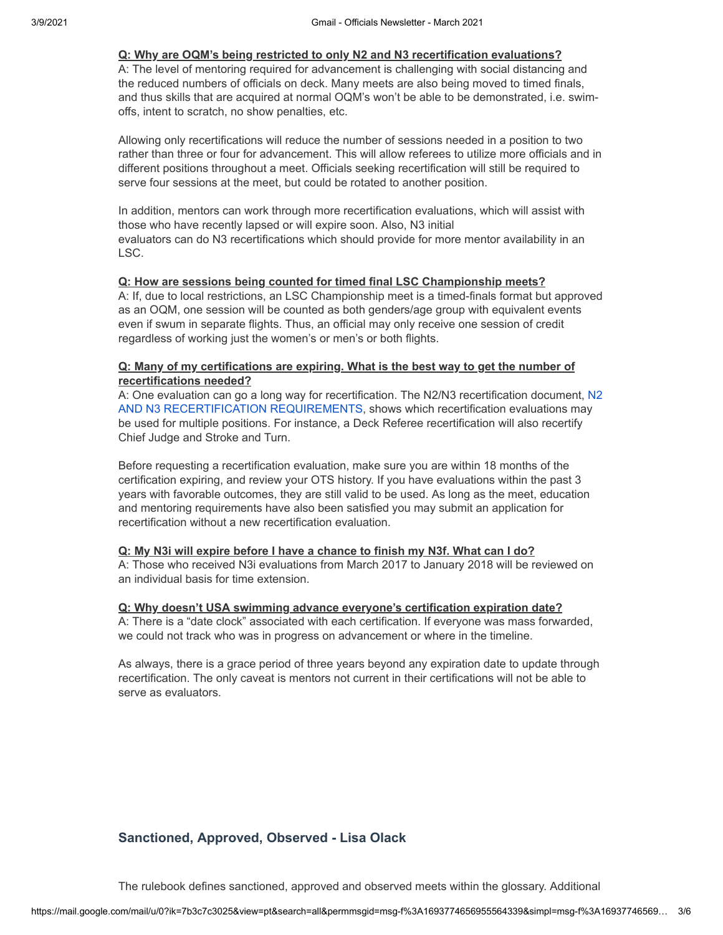## **Q: Why are OQM's being restricted to only N2 and N3 recertification evaluations?**

A: The level of mentoring required for advancement is challenging with social distancing and the reduced numbers of officials on deck. Many meets are also being moved to timed finals, and thus skills that are acquired at normal OQM's won't be able to be demonstrated, i.e. swimoffs, intent to scratch, no show penalties, etc.

Allowing only recertifications will reduce the number of sessions needed in a position to two rather than three or four for advancement. This will allow referees to utilize more officials and in different positions throughout a meet. Officials seeking recertification will still be required to serve four sessions at the meet, but could be rotated to another position.

In addition, mentors can work through more recertification evaluations, which will assist with those who have recently lapsed or will expire soon. Also, N3 initial evaluators can do N3 recertifications which should provide for more mentor availability in an LSC.

## **Q: How are sessions being counted for timed final LSC Championship meets?**

A: If, due to local restrictions, an LSC Championship meet is a timed-finals format but approved as an OQM, one session will be counted as both genders/age group with equivalent events even if swum in separate flights. Thus, an official may only receive one session of credit regardless of working just the women's or men's or both flights.

## **Q: Many of my certifications are expiring. What is the best way to get the number of recertifications needed?**

[A: One evaluation can go a long way for recertification. The N2/N3 recertification document, N2](http://pages.usaswimming.org/MjM2LUtDWi00OTUAAAF7tunWi0Dz8Xv8sSjp33E8BWgsKszoBi0Ym_hfYEuTuGYfcbSU42ljJTT8dUG0Lhqwia3rHBM=) AND N3 RECERTIFICATION REQUIREMENTS, shows which recertification evaluations may be used for multiple positions. For instance, a Deck Referee recertification will also recertify Chief Judge and Stroke and Turn.

Before requesting a recertification evaluation, make sure you are within 18 months of the certification expiring, and review your OTS history. If you have evaluations within the past 3 years with favorable outcomes, they are still valid to be used. As long as the meet, education and mentoring requirements have also been satisfied you may submit an application for recertification without a new recertification evaluation.

# **Q: My N3i will expire before I have a chance to finish my N3f. What can I do?**

A: Those who received N3i evaluations from March 2017 to January 2018 will be reviewed on an individual basis for time extension.

#### **Q: Why doesn't USA swimming advance everyone's certification expiration date?**

A: There is a "date clock" associated with each certification. If everyone was mass forwarded, we could not track who was in progress on advancement or where in the timeline.

As always, there is a grace period of three years beyond any expiration date to update through recertification. The only caveat is mentors not current in their certifications will not be able to serve as evaluators.

# **Sanctioned, Approved, Observed - Lisa Olack**

The rulebook defines sanctioned, approved and observed meets within the glossary. Additional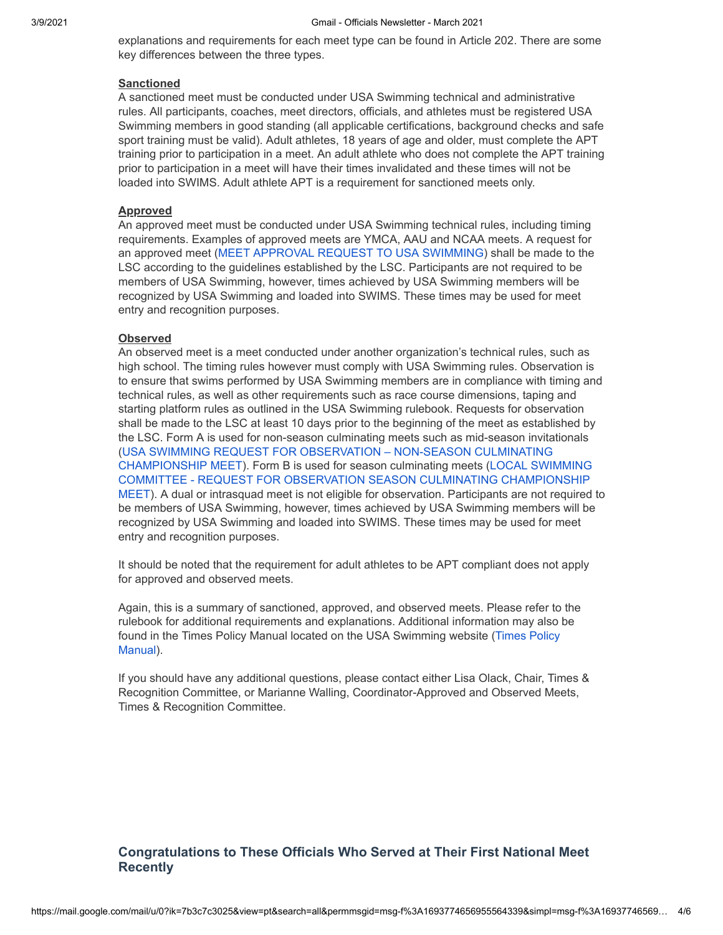explanations and requirements for each meet type can be found in Article 202. There are some key differences between the three types.

#### **Sanctioned**

A sanctioned meet must be conducted under USA Swimming technical and administrative rules. All participants, coaches, meet directors, officials, and athletes must be registered USA Swimming members in good standing (all applicable certifications, background checks and safe sport training must be valid). Adult athletes, 18 years of age and older, must complete the APT training prior to participation in a meet. An adult athlete who does not complete the APT training prior to participation in a meet will have their times invalidated and these times will not be loaded into SWIMS. Adult athlete APT is a requirement for sanctioned meets only.

#### **Approved**

An approved meet must be conducted under USA Swimming technical rules, including timing requirements. Examples of approved meets are YMCA, AAU and NCAA meets. A request for an approved meet ([MEET APPROVAL REQUEST TO USA SWIMMING\)](http://pages.usaswimming.org/MjM2LUtDWi00OTUAAAF7tunWi7GUMJHXz7fUwQl87pR8VdDBOI7W2JmYX7olm5PTcXE9ZtF_J0IGQJrqPYlUk-tbWkc=) shall be made to the LSC according to the guidelines established by the LSC. Participants are not required to be members of USA Swimming, however, times achieved by USA Swimming members will be recognized by USA Swimming and loaded into SWIMS. These times may be used for meet entry and recognition purposes.

#### **Observed**

An observed meet is a meet conducted under another organization's technical rules, such as high school. The timing rules however must comply with USA Swimming rules. Observation is to ensure that swims performed by USA Swimming members are in compliance with timing and technical rules, as well as other requirements such as race course dimensions, taping and starting platform rules as outlined in the USA Swimming rulebook. Requests for observation shall be made to the LSC at least 10 days prior to the beginning of the meet as established by the LSC. Form A is used for non-season culminating meets such as mid-season invitationals [\(USA SWIMMING REQUEST FOR OBSERVATION – NON-SEASON CULMINATING](http://pages.usaswimming.org/MjM2LUtDWi00OTUAAAF7tunWiuWsgErXcKFg5WTOaVvI9K5d2u6BEh7EYaOc5BXcBFwgeAox12Z8QKSUwX7VG4Lo9VU=) [CHAMPIONSHIP MEET\). Form B is used for season culminating meets \(LOCAL SWIMMING](http://pages.usaswimming.org/MjM2LUtDWi00OTUAAAF7tunWiyBjlE5krZZqFpC0dNdfX3mugkbe-F2TysGbWOZ5eOlC5APoYOwODJ29X1CiSCLUs4c=) COMMITTEE - REQUEST FOR OBSERVATION SEASON CULMINATING CHAMPIONSHIP MEET). A dual or intrasquad meet is not eligible for observation. Participants are not required to be members of USA Swimming, however, times achieved by USA Swimming members will be recognized by USA Swimming and loaded into SWIMS. These times may be used for meet entry and recognition purposes.

It should be noted that the requirement for adult athletes to be APT compliant does not apply for approved and observed meets.

Again, this is a summary of sanctioned, approved, and observed meets. Please refer to the rulebook for additional requirements and explanations. Additional information may also be [found in the Times Policy Manual located on the USA Swimming website \(Times Policy](http://pages.usaswimming.org/MjM2LUtDWi00OTUAAAF7tunWi5ks3T1zpK0a2fBTrGBnAQ3Dnc2DKbGo14cTK4HW8AOFpm3m6jfWzlgNAuVa5okKGKs=) Manual).

If you should have any additional questions, please contact either Lisa Olack, Chair, Times & Recognition Committee, or Marianne Walling, Coordinator-Approved and Observed Meets, Times & Recognition Committee.

# **Congratulations to These Officials Who Served at Their First National Meet Recently**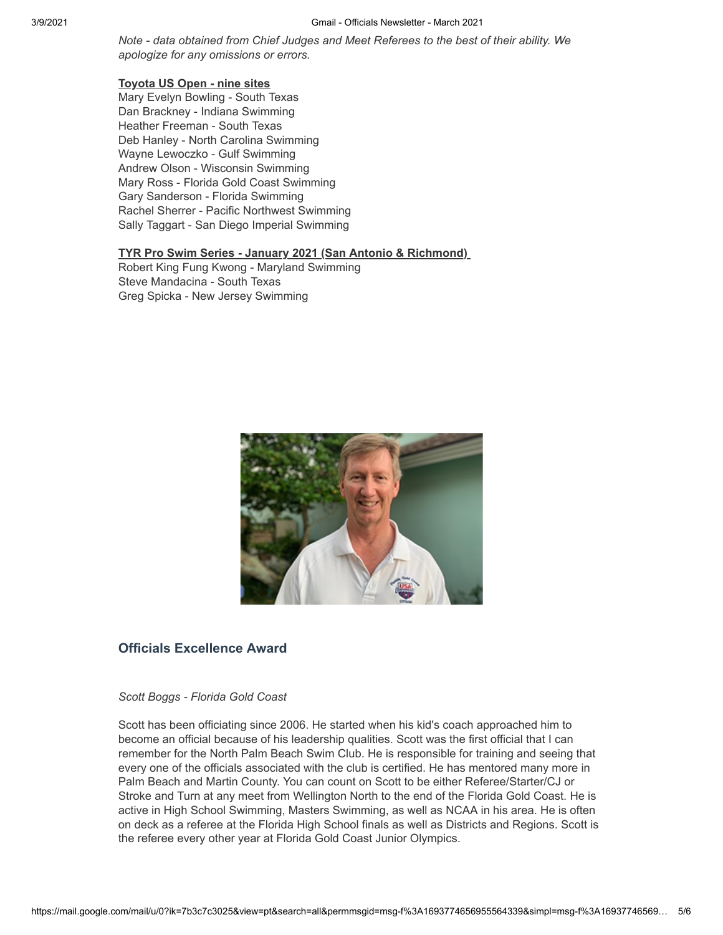*Note - data obtained from Chief Judges and Meet Referees to the best of their ability. We apologize for any omissions or errors.*

# **Toyota US Open - nine sites**

Mary Evelyn Bowling - South Texas Dan Brackney - Indiana Swimming Heather Freeman - South Texas Deb Hanley - North Carolina Swimming Wayne Lewoczko - Gulf Swimming Andrew Olson - Wisconsin Swimming Mary Ross - Florida Gold Coast Swimming Gary Sanderson - Florida Swimming Rachel Sherrer - Pacific Northwest Swimming Sally Taggart - San Diego Imperial Swimming

## **TYR Pro Swim Series - January 2021 (San Antonio & Richmond)**

Robert King Fung Kwong - Maryland Swimming Steve Mandacina - South Texas Greg Spicka - New Jersey Swimming



# **Officials Excellence Award**

#### *Scott Boggs - Florida Gold Coast*

Scott has been officiating since 2006. He started when his kid's coach approached him to become an official because of his leadership qualities. Scott was the first official that I can remember for the North Palm Beach Swim Club. He is responsible for training and seeing that every one of the officials associated with the club is certified. He has mentored many more in Palm Beach and Martin County. You can count on Scott to be either Referee/Starter/CJ or Stroke and Turn at any meet from Wellington North to the end of the Florida Gold Coast. He is active in High School Swimming, Masters Swimming, as well as NCAA in his area. He is often on deck as a referee at the Florida High School finals as well as Districts and Regions. Scott is the referee every other year at Florida Gold Coast Junior Olympics.